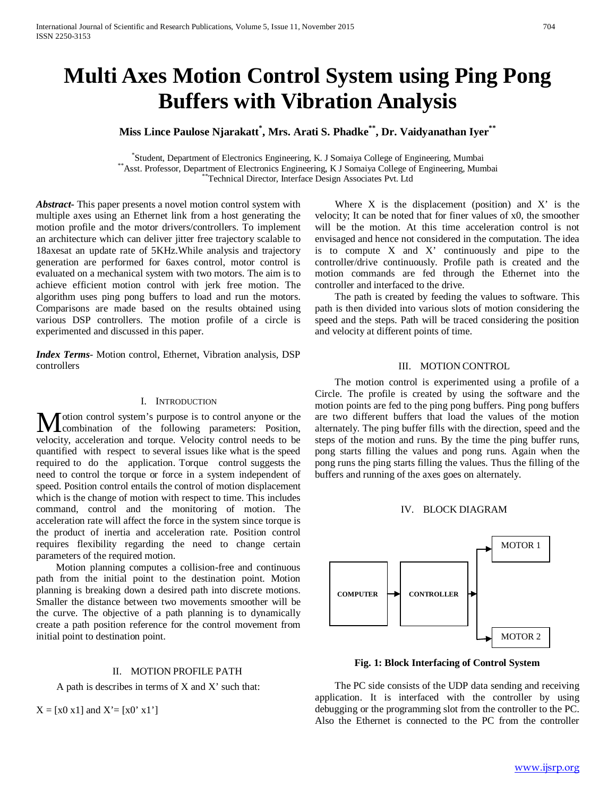# **Multi Axes Motion Control System using Ping Pong Buffers with Vibration Analysis**

# **Miss Lince Paulose Njarakatt\* , Mrs. Arati S. Phadke\*\*, Dr. Vaidyanathan Iyer\*\***

\*Student, Department of Electronics Engineering, K. J Somaiya College of Engineering, Mumbai \*\* Asst. Professor, Department of Electronics Engineering, K J Somaiya College of Engineering, Mumbai<br>\*\* Technical Director, Interface Design Associates Pvt. Ltd

*Abstract***-** This paper presents a novel motion control system with multiple axes using an Ethernet link from a host generating the motion profile and the motor drivers/controllers. To implement an architecture which can deliver jitter free trajectory scalable to 18axesat an update rate of 5KHz.While analysis and trajectory generation are performed for 6axes control, motor control is evaluated on a mechanical system with two motors. The aim is to achieve efficient motion control with jerk free motion. The algorithm uses ping pong buffers to load and run the motors. Comparisons are made based on the results obtained using various DSP controllers. The motion profile of a circle is experimented and discussed in this paper.

*Index Terms*- Motion control, Ethernet, Vibration analysis, DSP controllers

## I. INTRODUCTION

otion control system's purpose is to control anyone or the Motion control system's purpose is to control anyone or the combination of the following parameters: Position, velocity, acceleration and torque. Velocity control needs to be quantified with respect to several issues like what is the speed required to do the application. Torque control suggests the need to control the torque or force in a system independent of speed. Position control entails the control of motion displacement which is the change of motion with respect to time. This includes command, control and the monitoring of motion. The acceleration rate will affect the force in the system since torque is the product of inertia and acceleration rate. Position control requires flexibility regarding the need to change certain parameters of the required motion.

 Motion planning computes a collision-free and continuous path from the initial point to the destination point. Motion planning is breaking down a desired path into discrete motions. Smaller the distance between two movements smoother will be the curve. The objective of a path planning is to dynamically create a path position reference for the control movement from initial point to destination point.

### II. MOTION PROFILE PATH

A path is describes in terms of X and X' such that:

 $X = [x0 x1]$  and  $X' = [x0' x1']$ 

Where  $X$  is the displacement (position) and  $X'$  is the velocity; It can be noted that for finer values of x0, the smoother will be the motion. At this time acceleration control is not envisaged and hence not considered in the computation. The idea is to compute X and X' continuously and pipe to the controller/drive continuously. Profile path is created and the motion commands are fed through the Ethernet into the controller and interfaced to the drive.

 The path is created by feeding the values to software. This path is then divided into various slots of motion considering the speed and the steps. Path will be traced considering the position and velocity at different points of time.

## III. MOTION CONTROL

 The motion control is experimented using a profile of a Circle. The profile is created by using the software and the motion points are fed to the ping pong buffers. Ping pong buffers are two different buffers that load the values of the motion alternately. The ping buffer fills with the direction, speed and the steps of the motion and runs. By the time the ping buffer runs, pong starts filling the values and pong runs. Again when the pong runs the ping starts filling the values. Thus the filling of the buffers and running of the axes goes on alternately.

## IV. BLOCK DIAGRAM



**Fig. 1: Block Interfacing of Control System**

 The PC side consists of the UDP data sending and receiving application. It is interfaced with the controller by using debugging or the programming slot from the controller to the PC. Also the Ethernet is connected to the PC from the controller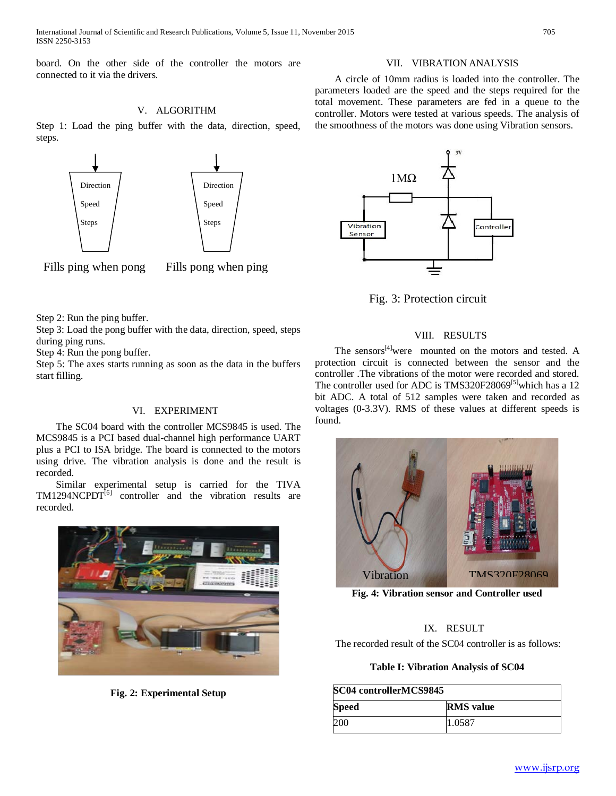International Journal of Scientific and Research Publications, Volume 5, Issue 11, November 2015 705 ISSN 2250-3153

board. On the other side of the controller the motors are connected to it via the drivers.

# V. ALGORITHM

Step 1: Load the ping buffer with the data, direction, speed, steps.



Fills ping when pong Fills pong when ping

Step 2: Run the ping buffer.

Step 3: Load the pong buffer with the data, direction, speed, steps during ping runs.

Step 4: Run the pong buffer.

Step 5: The axes starts running as soon as the data in the buffers start filling.

## VI. EXPERIMENT

 The SC04 board with the controller MCS9845 is used. The MCS9845 is a PCI based dual-channel high performance UART plus a PCI to ISA bridge. The board is connected to the motors using drive. The vibration analysis is done and the result is recorded.

 Similar experimental setup is carried for the TIVA TM1294NCPDT<sup>[6]</sup> controller and the vibration results are recorded.



**Fig. 2: Experimental Setup**

## VII. VIBRATION ANALYSIS

 A circle of 10mm radius is loaded into the controller. The parameters loaded are the speed and the steps required for the total movement. These parameters are fed in a queue to the controller. Motors were tested at various speeds. The analysis of the smoothness of the motors was done using Vibration sensors.



Fig. 3: Protection circuit

## VIII. RESULTS

The sensors<sup>[4]</sup>were mounted on the motors and tested. A protection circuit is connected between the sensor and the controller .The vibrations of the motor were recorded and stored. The controller used for ADC is  $TMS320F28069^{[5]}$  which has a 12 bit ADC. A total of 512 samples were taken and recorded as voltages (0-3.3V). RMS of these values at different speeds is found.



**Fig. 4: Vibration sensor and Controller used**

#### IX. RESULT

The recorded result of the SC04 controller is as follows:

## **Table I: Vibration Analysis of SC04**

| SC04 controllerMCS9845 |                  |
|------------------------|------------------|
| <b>Speed</b>           | <b>RMS</b> value |
| 200                    | 1.0587           |